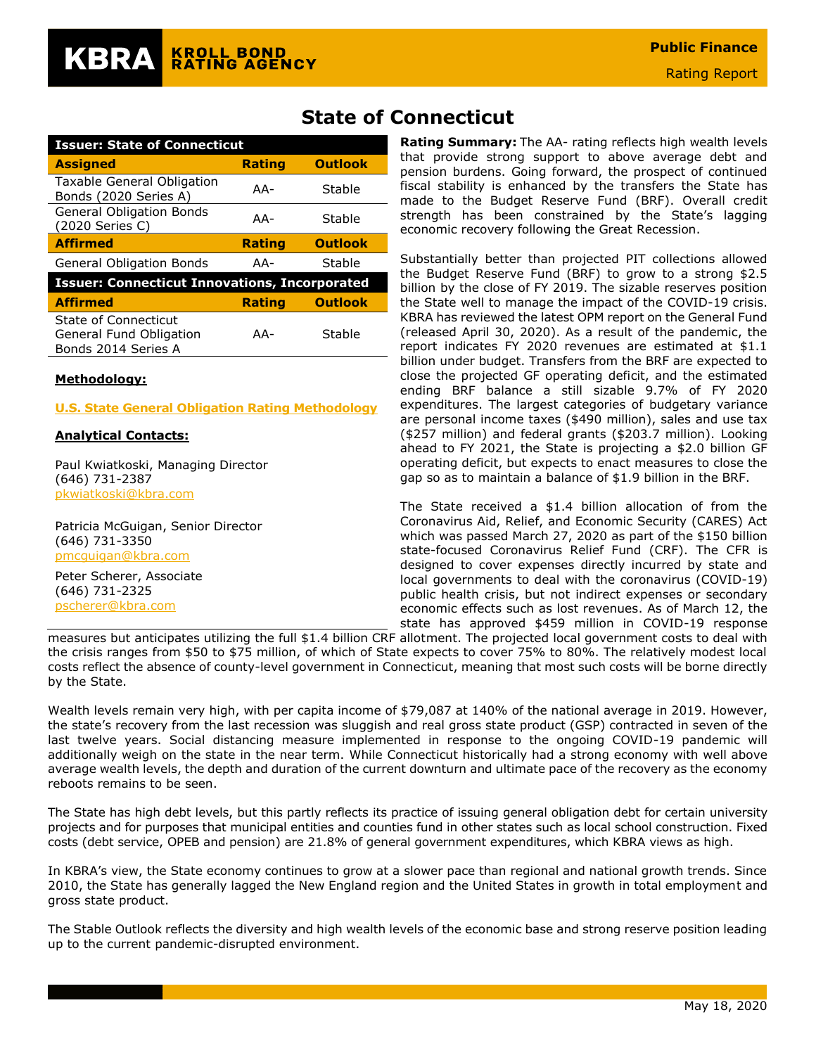| <b>Issuer: State of Connecticut</b>                                    |               |                |  |  |  |
|------------------------------------------------------------------------|---------------|----------------|--|--|--|
| <b>Assigned</b>                                                        | <b>Rating</b> | <b>Outlook</b> |  |  |  |
| <b>Taxable General Obligation</b><br>Bonds (2020 Series A)             | $AA-$         | Stable         |  |  |  |
| <b>General Obligation Bonds</b><br>(2020 Series C)                     | AA-           | Stable         |  |  |  |
| <b>Affirmed</b>                                                        | <b>Rating</b> | <b>Outlook</b> |  |  |  |
| <b>General Obligation Bonds</b>                                        | AA-           | Stable         |  |  |  |
| <b>Issuer: Connecticut Innovations, Incorporated</b>                   |               |                |  |  |  |
| <b>Affirmed</b>                                                        | <b>Rating</b> | <b>Outlook</b> |  |  |  |
| State of Connecticut<br>General Fund Obligation<br>Bonds 2014 Series A | AA-           | Stable         |  |  |  |

#### **Methodology:**

#### **[U.S. State General Obligation Rating Methodology](https://documents.krollbondratings.com/report/74)**

#### **Analytical Contacts:**

Paul Kwiatkoski, Managing Director (646) 731-2387 [pkwiatkoski@kbra.com](mailto:pkwiatkoski@kbra.com)

Patricia McGuigan, Senior Director (646) 731-3350 [pmcguigan@kbra.com](mailto:pmcguigan@kbra.com)

Peter Scherer, Associate (646) 731-2325 [pscherer@kbra.com](mailto:pscherer@kbra.com)

# **State of Connecticut**

**Rating Summary:** The AA- rating reflects high wealth levels that provide strong support to above average debt and pension burdens. Going forward, the prospect of continued fiscal stability is enhanced by the transfers the State has made to the Budget Reserve Fund (BRF). Overall credit strength has been constrained by the State's lagging economic recovery following the Great Recession.

Substantially better than projected PIT collections allowed the Budget Reserve Fund (BRF) to grow to a strong \$2.5 billion by the close of FY 2019. The sizable reserves position the State well to manage the impact of the COVID-19 crisis. KBRA has reviewed the latest OPM report on the General Fund (released April 30, 2020). As a result of the pandemic, the report indicates FY 2020 revenues are estimated at \$1.1 billion under budget. Transfers from the BRF are expected to close the projected GF operating deficit, and the estimated ending BRF balance a still sizable 9.7% of FY 2020 expenditures. The largest categories of budgetary variance are personal income taxes (\$490 million), sales and use tax (\$257 million) and federal grants (\$203.7 million). Looking ahead to FY 2021, the State is projecting a \$2.0 billion GF operating deficit, but expects to enact measures to close the gap so as to maintain a balance of \$1.9 billion in the BRF.

The State received a \$1.4 billion allocation of from the Coronavirus Aid, Relief, and Economic Security (CARES) Act which was passed March 27, 2020 as part of the \$150 billion state-focused Coronavirus Relief Fund (CRF). The CFR is designed to cover expenses directly incurred by state and local governments to deal with the coronavirus (COVID-19) public health crisis, but not indirect expenses or secondary economic effects such as lost revenues. As of March 12, the state has approved \$459 million in COVID-19 response

measures but anticipates utilizing the full \$1.4 billion CRF allotment. The projected local government costs to deal with the crisis ranges from \$50 to \$75 million, of which of State expects to cover 75% to 80%. The relatively modest local costs reflect the absence of county-level government in Connecticut, meaning that most such costs will be borne directly by the State.

Wealth levels remain very high, with per capita income of \$79,087 at 140% of the national average in 2019. However, the state's recovery from the last recession was sluggish and real gross state product (GSP) contracted in seven of the last twelve years. Social distancing measure implemented in response to the ongoing COVID-19 pandemic will additionally weigh on the state in the near term. While Connecticut historically had a strong economy with well above average wealth levels, the depth and duration of the current downturn and ultimate pace of the recovery as the economy reboots remains to be seen.

The State has high debt levels, but this partly reflects its practice of issuing general obligation debt for certain university projects and for purposes that municipal entities and counties fund in other states such as local school construction. Fixed costs (debt service, OPEB and pension) are 21.8% of general government expenditures, which KBRA views as high.

In KBRA's view, the State economy continues to grow at a slower pace than regional and national growth trends. Since 2010, the State has generally lagged the New England region and the United States in growth in total employment and gross state product.

The Stable Outlook reflects the diversity and high wealth levels of the economic base and strong reserve position leading up to the current pandemic-disrupted environment.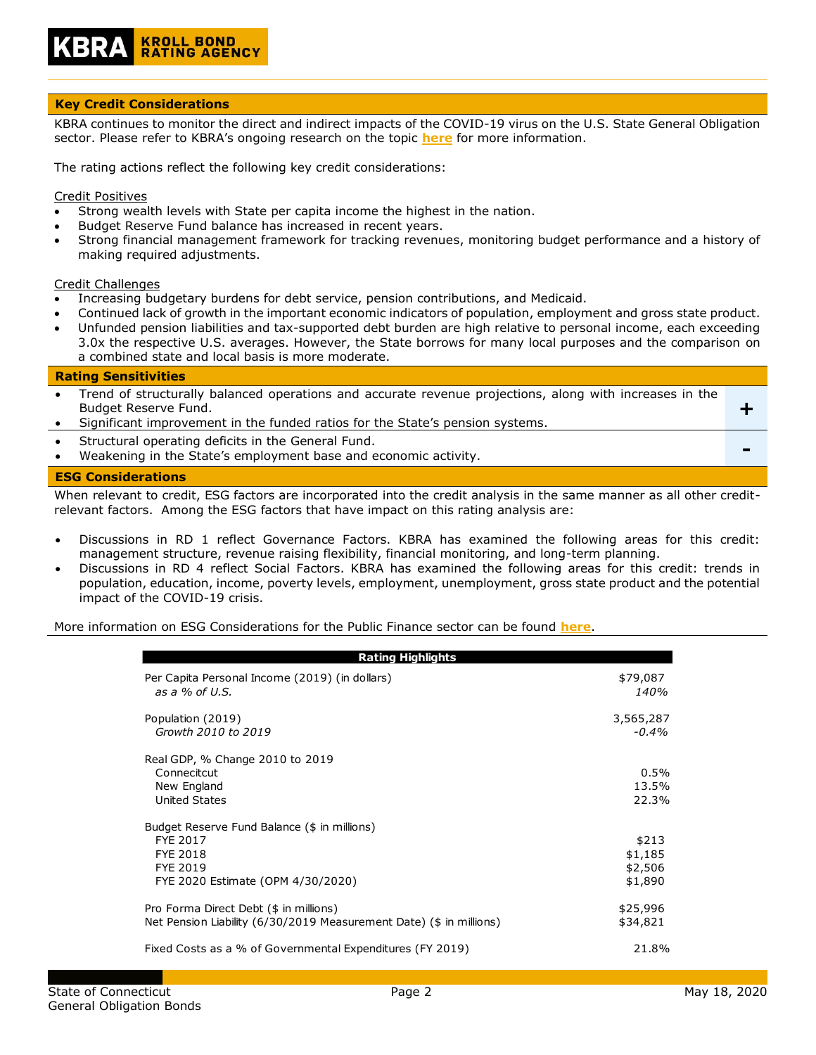

## **Key Credit Considerations**

KBRA continues to monitor the direct and indirect impacts of the COVID-19 virus on the U.S. State General Obligation sector. Please refer to KBRA's ongoing research on the topic **[here](https://www.krollbondratings.com/search/publications?page=1&publicationType=Research%20Report&q=covid-19§ors=Public%20Finance)** for more information.

The rating actions reflect the following key credit considerations:

#### Credit Positives

- Strong wealth levels with State per capita income the highest in the nation.
- Budget Reserve Fund balance has increased in recent years.
- Strong financial management framework for tracking revenues, monitoring budget performance and a history of making required adjustments.

#### Credit Challenges

- Increasing budgetary burdens for debt service, pension contributions, and Medicaid.
- Continued lack of growth in the important economic indicators of population, employment and gross state product.
- Unfunded pension liabilities and tax-supported debt burden are high relative to personal income, each exceeding 3.0x the respective U.S. averages. However, the State borrows for many local purposes and the comparison on a combined state and local basis is more moderate.

#### **Rating Sensitivities**

| <b>ESG Considerations</b> |                                                                                                                                                                                                                  |  |  |  |
|---------------------------|------------------------------------------------------------------------------------------------------------------------------------------------------------------------------------------------------------------|--|--|--|
| $\bullet$<br>$\bullet$    | Structural operating deficits in the General Fund.<br>Weakening in the State's employment base and economic activity.                                                                                            |  |  |  |
| $\bullet$<br>$\bullet$    | Trend of structurally balanced operations and accurate revenue projections, along with increases in the<br>Budget Reserve Fund.<br>Significant improvement in the funded ratios for the State's pension systems. |  |  |  |

When relevant to credit, ESG factors are incorporated into the credit analysis in the same manner as all other creditrelevant factors. Among the ESG factors that have impact on this rating analysis are:

- Discussions in RD 1 reflect Governance Factors. KBRA has examined the following areas for this credit: management structure, revenue raising flexibility, financial monitoring, and long-term planning.
- Discussions in RD 4 reflect Social Factors. KBRA has examined the following areas for this credit: trends in population, education, income, poverty levels, employment, unemployment, gross state product and the potential impact of the COVID-19 crisis.

More information on ESG Considerations for the Public Finance sector can be found **[here](https://documents.krollbondratings.com/report/26137/public-finance-environmental-social-and-governance-esg-considerations-by-sector)**.

| <b>Rating Highlights</b>                                                                                              |                                        |
|-----------------------------------------------------------------------------------------------------------------------|----------------------------------------|
| Per Capita Personal Income (2019) (in dollars)<br>as a % of U.S.                                                      | \$79,087<br>140%                       |
| Population (2019)<br>Growth 2010 to 2019                                                                              | 3,565,287<br>$-0.4\%$                  |
| Real GDP, % Change 2010 to 2019<br>Connecitcut<br>New England<br>United States                                        | 0.5%<br>13.5%<br>22.3%                 |
| Budget Reserve Fund Balance (\$ in millions)<br>FYE 2017<br>FYE 2018<br>FYE 2019<br>FYE 2020 Estimate (OPM 4/30/2020) | \$213<br>\$1,185<br>\$2,506<br>\$1,890 |
| Pro Forma Direct Debt (\$ in millions)<br>Net Pension Liability (6/30/2019 Measurement Date) (\$ in millions)         | \$25,996<br>\$34,821                   |
| Fixed Costs as a % of Governmental Expenditures (FY 2019)                                                             | 21.8%                                  |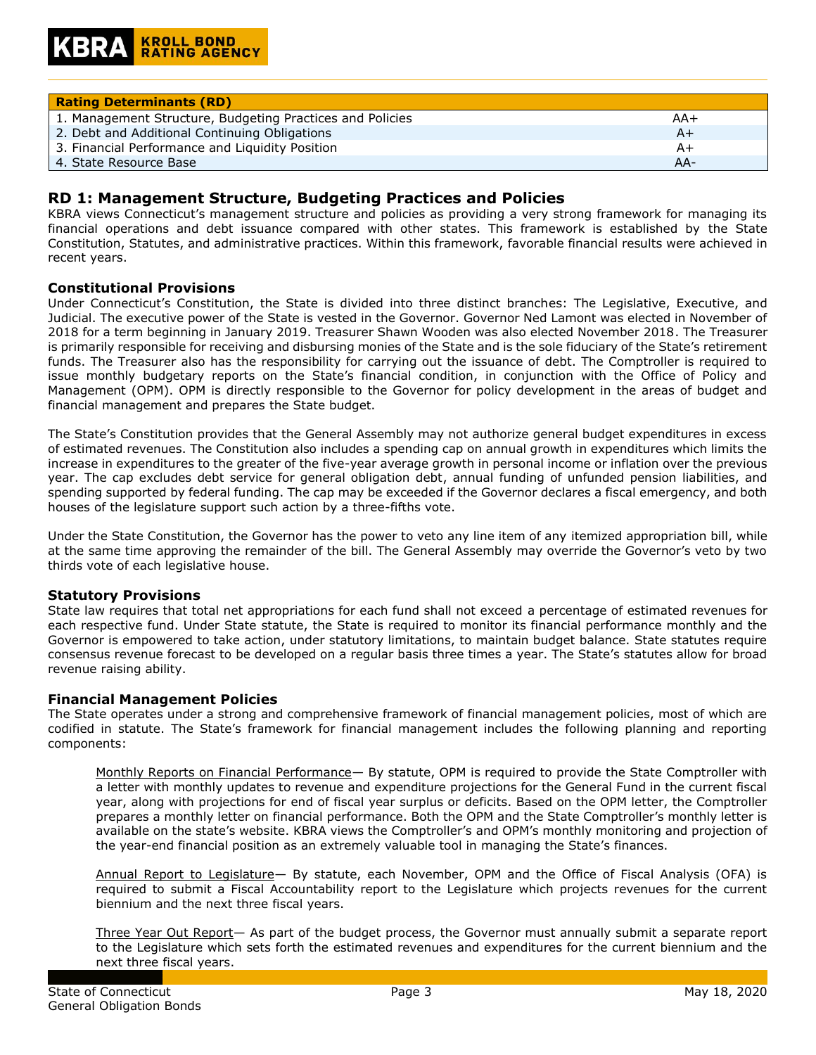| <b>Rating Determinants (RD)</b>                           |     |
|-----------------------------------------------------------|-----|
| 1. Management Structure, Budgeting Practices and Policies | AA+ |
| 2. Debt and Additional Continuing Obligations             | A+  |
| 3. Financial Performance and Liquidity Position           | A+  |
| 4. State Resource Base                                    | AA- |

# **RD 1: Management Structure, Budgeting Practices and Policies**

KBRA views Connecticut's management structure and policies as providing a very strong framework for managing its financial operations and debt issuance compared with other states. This framework is established by the State Constitution, Statutes, and administrative practices. Within this framework, favorable financial results were achieved in recent years.

#### **Constitutional Provisions**

Under Connecticut's Constitution, the State is divided into three distinct branches: The Legislative, Executive, and Judicial. The executive power of the State is vested in the Governor. Governor Ned Lamont was elected in November of 2018 for a term beginning in January 2019. Treasurer Shawn Wooden was also elected November 2018. The Treasurer is primarily responsible for receiving and disbursing monies of the State and is the sole fiduciary of the State's retirement funds. The Treasurer also has the responsibility for carrying out the issuance of debt. The Comptroller is required to issue monthly budgetary reports on the State's financial condition, in conjunction with the Office of Policy and Management (OPM). OPM is directly responsible to the Governor for policy development in the areas of budget and financial management and prepares the State budget.

The State's Constitution provides that the General Assembly may not authorize general budget expenditures in excess of estimated revenues. The Constitution also includes a spending cap on annual growth in expenditures which limits the increase in expenditures to the greater of the five-year average growth in personal income or inflation over the previous year. The cap excludes debt service for general obligation debt, annual funding of unfunded pension liabilities, and spending supported by federal funding. The cap may be exceeded if the Governor declares a fiscal emergency, and both houses of the legislature support such action by a three-fifths vote.

Under the State Constitution, the Governor has the power to veto any line item of any itemized appropriation bill, while at the same time approving the remainder of the bill. The General Assembly may override the Governor's veto by two thirds vote of each legislative house.

#### **Statutory Provisions**

State law requires that total net appropriations for each fund shall not exceed a percentage of estimated revenues for each respective fund. Under State statute, the State is required to monitor its financial performance monthly and the Governor is empowered to take action, under statutory limitations, to maintain budget balance. State statutes require consensus revenue forecast to be developed on a regular basis three times a year. The State's statutes allow for broad revenue raising ability.

#### **Financial Management Policies**

The State operates under a strong and comprehensive framework of financial management policies, most of which are codified in statute. The State's framework for financial management includes the following planning and reporting components:

Monthly Reports on Financial Performance- By statute, OPM is required to provide the State Comptroller with a letter with monthly updates to revenue and expenditure projections for the General Fund in the current fiscal year, along with projections for end of fiscal year surplus or deficits. Based on the OPM letter, the Comptroller prepares a monthly letter on financial performance. Both the OPM and the State Comptroller's monthly letter is available on the state's website. KBRA views the Comptroller's and OPM's monthly monitoring and projection of the year-end financial position as an extremely valuable tool in managing the State's finances.

Annual Report to Legislature— By statute, each November, OPM and the Office of Fiscal Analysis (OFA) is required to submit a Fiscal Accountability report to the Legislature which projects revenues for the current biennium and the next three fiscal years.

Three Year Out Report— As part of the budget process, the Governor must annually submit a separate report to the Legislature which sets forth the estimated revenues and expenditures for the current biennium and the next three fiscal years.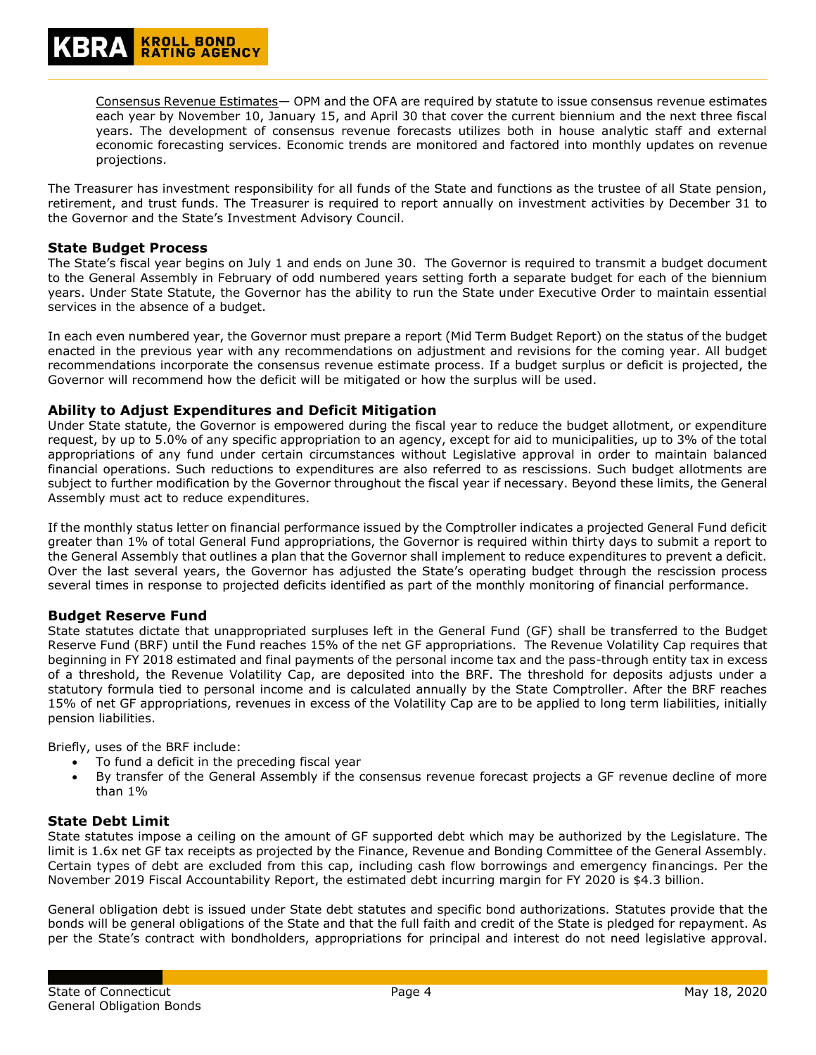Consensus Revenue Estimates— OPM and the OFA are required by statute to issue consensus revenue estimates each year by November 10, January 15, and April 30 that cover the current biennium and the next three fiscal years. The development of consensus revenue forecasts utilizes both in house analytic staff and external economic forecasting services. Economic trends are monitored and factored into monthly updates on revenue projections.

The Treasurer has investment responsibility for all funds of the State and functions as the trustee of all State pension, retirement, and trust funds. The Treasurer is required to report annually on investment activities by December 31 to the Governor and the State's Investment Advisory Council.

#### **State Budget Process**

The State's fiscal year begins on July 1 and ends on June 30. The Governor is required to transmit a budget document to the General Assembly in February of odd numbered years setting forth a separate budget for each of the biennium years. Under State Statute, the Governor has the ability to run the State under Executive Order to maintain essential services in the absence of a budget.

In each even numbered year, the Governor must prepare a report (Mid Term Budget Report) on the status of the budget enacted in the previous year with any recommendations on adjustment and revisions for the coming year. All budget recommendations incorporate the consensus revenue estimate process. If a budget surplus or deficit is projected, the Governor will recommend how the deficit will be mitigated or how the surplus will be used.

## **Ability to Adjust Expenditures and Deficit Mitigation**

Under State statute, the Governor is empowered during the fiscal year to reduce the budget allotment, or expenditure request, by up to 5.0% of any specific appropriation to an agency, except for aid to municipalities, up to 3% of the total appropriations of any fund under certain circumstances without Legislative approval in order to maintain balanced financial operations. Such reductions to expenditures are also referred to as rescissions. Such budget allotments are subject to further modification by the Governor throughout the fiscal year if necessary. Beyond these limits, the General Assembly must act to reduce expenditures.

If the monthly status letter on financial performance issued by the Comptroller indicates a projected General Fund deficit greater than 1% of total General Fund appropriations, the Governor is required within thirty days to submit a report to the General Assembly that outlines a plan that the Governor shall implement to reduce expenditures to prevent a deficit. Over the last several years, the Governor has adjusted the State's operating budget through the rescission process several times in response to projected deficits identified as part of the monthly monitoring of financial performance.

## **Budget Reserve Fund**

State statutes dictate that unappropriated surpluses left in the General Fund (GF) shall be transferred to the Budget Reserve Fund (BRF) until the Fund reaches 15% of the net GF appropriations. The Revenue Volatility Cap requires that beginning in FY 2018 estimated and final payments of the personal income tax and the pass-through entity tax in excess of a threshold, the Revenue Volatility Cap, are deposited into the BRF. The threshold for deposits adjusts under a statutory formula tied to personal income and is calculated annually by the State Comptroller. After the BRF reaches 15% of net GF appropriations, revenues in excess of the Volatility Cap are to be applied to long term liabilities, initially pension liabilities.

Briefly, uses of the BRF include:

- To fund a deficit in the preceding fiscal year
- By transfer of the General Assembly if the consensus revenue forecast projects a GF revenue decline of more than 1%

## **State Debt Limit**

State statutes impose a ceiling on the amount of GF supported debt which may be authorized by the Legislature. The limit is 1.6x net GF tax receipts as projected by the Finance, Revenue and Bonding Committee of the General Assembly. Certain types of debt are excluded from this cap, including cash flow borrowings and emergency financings. Per the November 2019 Fiscal Accountability Report, the estimated debt incurring margin for FY 2020 is \$4.3 billion.

General obligation debt is issued under State debt statutes and specific bond authorizations. Statutes provide that the bonds will be general obligations of the State and that the full faith and credit of the State is pledged for repayment. As per the State's contract with bondholders, appropriations for principal and interest do not need legislative approval.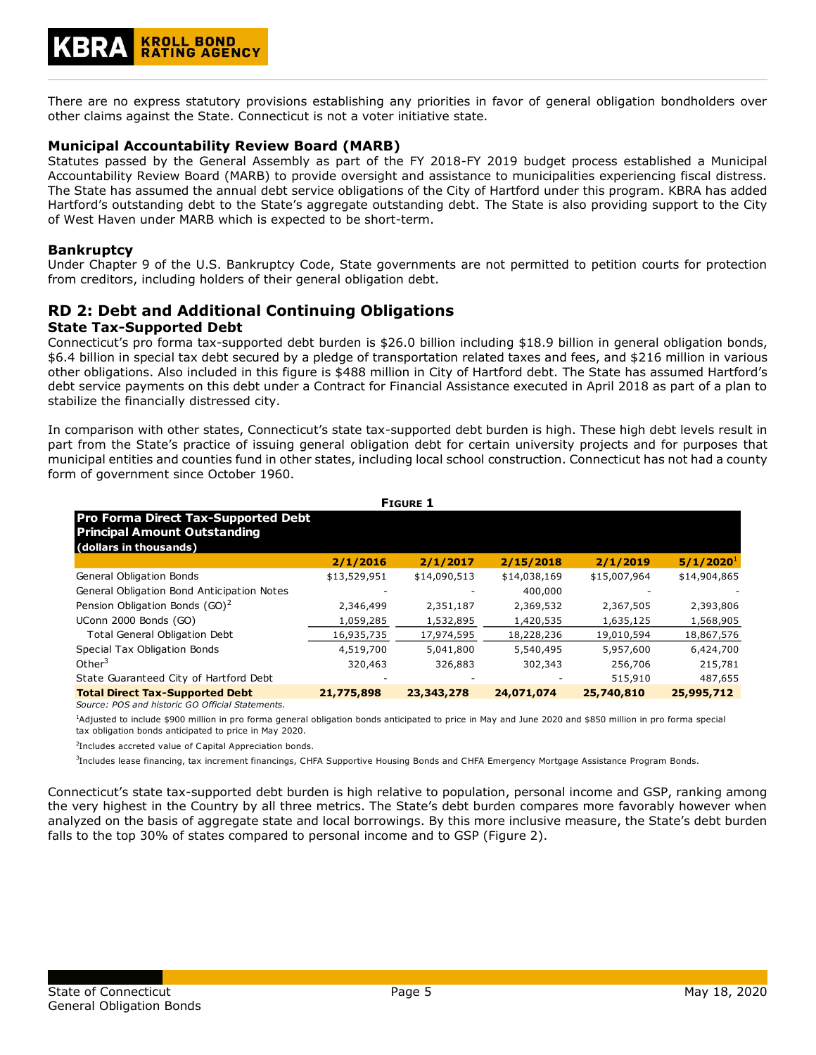There are no express statutory provisions establishing any priorities in favor of general obligation bondholders over other claims against the State. Connecticut is not a voter initiative state.

## **Municipal Accountability Review Board (MARB)**

Statutes passed by the General Assembly as part of the FY 2018-FY 2019 budget process established a Municipal Accountability Review Board (MARB) to provide oversight and assistance to municipalities experiencing fiscal distress. The State has assumed the annual debt service obligations of the City of Hartford under this program. KBRA has added Hartford's outstanding debt to the State's aggregate outstanding debt. The State is also providing support to the City of West Haven under MARB which is expected to be short-term.

#### **Bankruptcy**

Under Chapter 9 of the U.S. Bankruptcy Code, State governments are not permitted to petition courts for protection from creditors, including holders of their general obligation debt.

# **RD 2: Debt and Additional Continuing Obligations**

#### **State Tax-Supported Debt**

Connecticut's pro forma tax-supported debt burden is \$26.0 billion including \$18.9 billion in general obligation bonds, \$6.4 billion in special tax debt secured by a pledge of transportation related taxes and fees, and \$216 million in various other obligations. Also included in this figure is \$488 million in City of Hartford debt. The State has assumed Hartford's debt service payments on this debt under a Contract for Financial Assistance executed in April 2018 as part of a plan to stabilize the financially distressed city.

In comparison with other states, Connecticut's state tax-supported debt burden is high. These high debt levels result in part from the State's practice of issuing general obligation debt for certain university projects and for purposes that municipal entities and counties fund in other states, including local school construction. Connecticut has not had a county form of government since October 1960.

| <b>FIGURE 1</b>                                                                                             |              |              |              |              |                       |  |
|-------------------------------------------------------------------------------------------------------------|--------------|--------------|--------------|--------------|-----------------------|--|
| <b>Pro Forma Direct Tax-Supported Debt</b><br><b>Principal Amount Outstanding</b><br>(dollars in thousands) |              |              |              |              |                       |  |
|                                                                                                             | 2/1/2016     | 2/1/2017     | 2/15/2018    | 2/1/2019     | 5/1/2020 <sup>1</sup> |  |
| General Obligation Bonds                                                                                    | \$13,529,951 | \$14,090,513 | \$14,038,169 | \$15,007,964 | \$14,904,865          |  |
| General Obligation Bond Anticipation Notes                                                                  |              |              | 400,000      |              |                       |  |
| Pension Obligation Bonds (GO) <sup>2</sup>                                                                  | 2,346,499    | 2,351,187    | 2,369,532    | 2,367,505    | 2,393,806             |  |
| UConn 2000 Bonds (GO)                                                                                       | 1,059,285    | 1,532,895    | 1,420,535    | 1,635,125    | 1,568,905             |  |
| <b>Total General Obligation Debt</b>                                                                        | 16,935,735   | 17,974,595   | 18,228,236   | 19,010,594   | 18,867,576            |  |
| Special Tax Obligation Bonds                                                                                | 4,519,700    | 5,041,800    | 5,540,495    | 5,957,600    | 6,424,700             |  |
| Other $3$                                                                                                   | 320,463      | 326,883      | 302,343      | 256,706      | 215,781               |  |
| State Guaranteed City of Hartford Debt                                                                      |              |              |              | 515,910      | 487,655               |  |
| <b>Total Direct Tax-Supported Debt</b>                                                                      | 21,775,898   | 23,343,278   | 24,071,074   | 25,740,810   | 25,995,712            |  |

*Source: POS and historic GO Official Statements.*

<sup>1</sup>Adjusted to include \$900 million in pro forma general obligation bonds anticipated to price in May and June 2020 and \$850 million in pro forma special tax obligation bonds anticipated to price in May 2020.

2 Includes accreted value of Capital Appreciation bonds.

3 Includes lease financing, tax increment financings, CHFA Supportive Housing Bonds and CHFA Emergency Mortgage Assistance Program Bonds.

Connecticut's state tax-supported debt burden is high relative to population, personal income and GSP, ranking among the very highest in the Country by all three metrics. The State's debt burden compares more favorably however when analyzed on the basis of aggregate state and local borrowings. By this more inclusive measure, the State's debt burden falls to the top 30% of states compared to personal income and to GSP (Figure 2).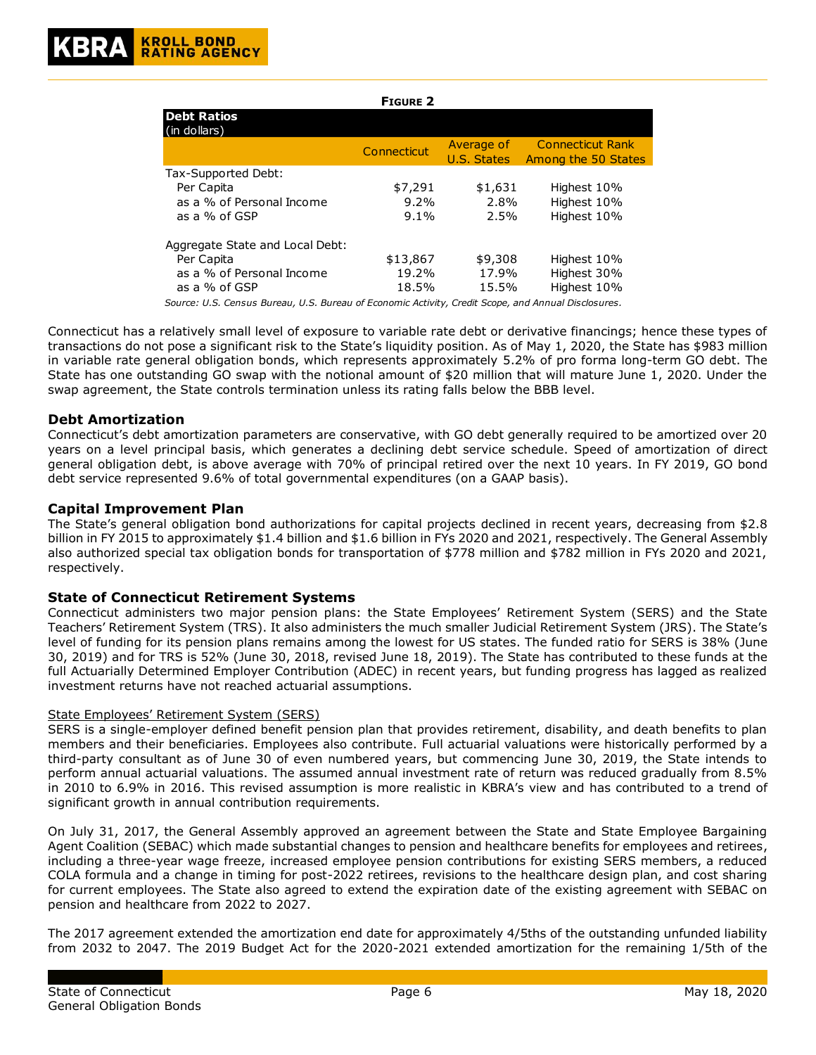|                                                                                                     | <b>FIGURE 2</b> |                           |                                                |
|-----------------------------------------------------------------------------------------------------|-----------------|---------------------------|------------------------------------------------|
| <b>Debt Ratios</b><br>(in dollars)                                                                  |                 |                           |                                                |
|                                                                                                     | Connecticut     | Average of<br>U.S. States | <b>Connecticut Rank</b><br>Among the 50 States |
| Tax-Supported Debt:                                                                                 |                 |                           |                                                |
| Per Capita                                                                                          | \$7,291         | \$1,631                   | Highest 10%                                    |
| as a % of Personal Income                                                                           | $9.2\%$         | 2.8%                      | Highest 10%                                    |
| as a % of GSP                                                                                       | $9.1\%$         | 2.5%                      | Highest 10%                                    |
| Aggregate State and Local Debt:                                                                     |                 |                           |                                                |
| Per Capita                                                                                          | \$13,867        | \$9,308                   | Highest 10%                                    |
| as a % of Personal Income                                                                           | 19.2%           | 17.9%                     | Highest 30%                                    |
| as a % of GSP                                                                                       | 18.5%           | 15.5%                     | Highest 10%                                    |
| Source: U.S. Census Bureau, U.S. Bureau of Economic Activity, Credit Scope, and Annual Disclosures. |                 |                           |                                                |

Connecticut has a relatively small level of exposure to variable rate debt or derivative financings; hence these types of transactions do not pose a significant risk to the State's liquidity position. As of May 1, 2020, the State has \$983 million in variable rate general obligation bonds, which represents approximately 5.2% of pro forma long-term GO debt. The State has one outstanding GO swap with the notional amount of \$20 million that will mature June 1, 2020. Under the swap agreement, the State controls termination unless its rating falls below the BBB level.

## **Debt Amortization**

Connecticut's debt amortization parameters are conservative, with GO debt generally required to be amortized over 20 years on a level principal basis, which generates a declining debt service schedule. Speed of amortization of direct general obligation debt, is above average with 70% of principal retired over the next 10 years. In FY 2019, GO bond debt service represented 9.6% of total governmental expenditures (on a GAAP basis).

## **Capital Improvement Plan**

The State's general obligation bond authorizations for capital projects declined in recent years, decreasing from \$2.8 billion in FY 2015 to approximately \$1.4 billion and \$1.6 billion in FYs 2020 and 2021, respectively. The General Assembly also authorized special tax obligation bonds for transportation of \$778 million and \$782 million in FYs 2020 and 2021, respectively.

#### **State of Connecticut Retirement Systems**

Connecticut administers two major pension plans: the State Employees' Retirement System (SERS) and the State Teachers' Retirement System (TRS). It also administers the much smaller Judicial Retirement System (JRS). The State's level of funding for its pension plans remains among the lowest for US states. The funded ratio for SERS is 38% (June 30, 2019) and for TRS is 52% (June 30, 2018, revised June 18, 2019). The State has contributed to these funds at the full Actuarially Determined Employer Contribution (ADEC) in recent years, but funding progress has lagged as realized investment returns have not reached actuarial assumptions.

#### State Employees' Retirement System (SERS)

SERS is a single-employer defined benefit pension plan that provides retirement, disability, and death benefits to plan members and their beneficiaries. Employees also contribute. Full actuarial valuations were historically performed by a third-party consultant as of June 30 of even numbered years, but commencing June 30, 2019, the State intends to perform annual actuarial valuations. The assumed annual investment rate of return was reduced gradually from 8.5% in 2010 to 6.9% in 2016. This revised assumption is more realistic in KBRA's view and has contributed to a trend of significant growth in annual contribution requirements.

On July 31, 2017, the General Assembly approved an agreement between the State and State Employee Bargaining Agent Coalition (SEBAC) which made substantial changes to pension and healthcare benefits for employees and retirees, including a three-year wage freeze, increased employee pension contributions for existing SERS members, a reduced COLA formula and a change in timing for post-2022 retirees, revisions to the healthcare design plan, and cost sharing for current employees. The State also agreed to extend the expiration date of the existing agreement with SEBAC on pension and healthcare from 2022 to 2027.

The 2017 agreement extended the amortization end date for approximately 4/5ths of the outstanding unfunded liability from 2032 to 2047. The 2019 Budget Act for the 2020-2021 extended amortization for the remaining 1/5th of the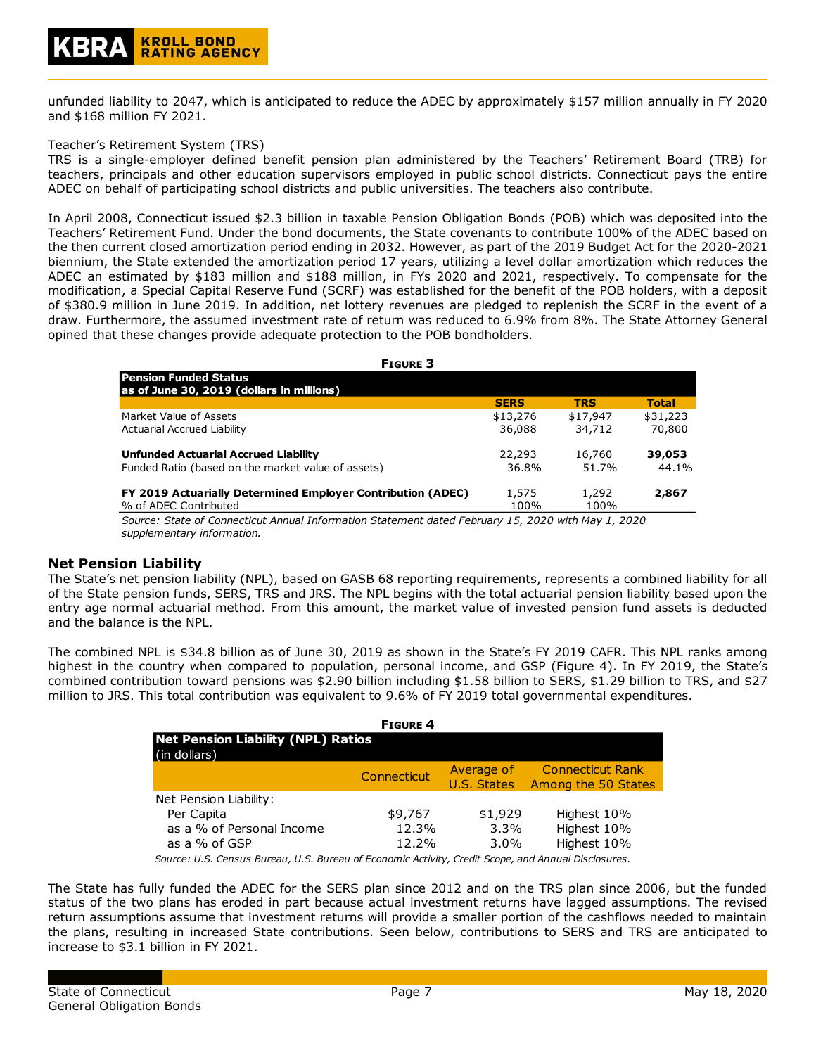unfunded liability to 2047, which is anticipated to reduce the ADEC by approximately \$157 million annually in FY 2020 and \$168 million FY 2021.

#### Teacher's Retirement System (TRS)

TRS is a single-employer defined benefit pension plan administered by the Teachers' Retirement Board (TRB) for teachers, principals and other education supervisors employed in public school districts. Connecticut pays the entire ADEC on behalf of participating school districts and public universities. The teachers also contribute.

In April 2008, Connecticut issued \$2.3 billion in taxable Pension Obligation Bonds (POB) which was deposited into the Teachers' Retirement Fund. Under the bond documents, the State covenants to contribute 100% of the ADEC based on the then current closed amortization period ending in 2032. However, as part of the 2019 Budget Act for the 2020-2021 biennium, the State extended the amortization period 17 years, utilizing a level dollar amortization which reduces the ADEC an estimated by \$183 million and \$188 million, in FYs 2020 and 2021, respectively. To compensate for the modification, a Special Capital Reserve Fund (SCRF) was established for the benefit of the POB holders, with a deposit of \$380.9 million in June 2019. In addition, net lottery revenues are pledged to replenish the SCRF in the event of a draw. Furthermore, the assumed investment rate of return was reduced to 6.9% from 8%. The State Attorney General opined that these changes provide adequate protection to the POB bondholders.

| <b>FIGURE 3</b>                                                                                    |             |            |              |
|----------------------------------------------------------------------------------------------------|-------------|------------|--------------|
| l Pension Funded Status<br>as of June 30, 2019 (dollars in millions)                               |             |            |              |
|                                                                                                    | <b>SERS</b> | <b>TRS</b> | <b>Total</b> |
| Market Value of Assets                                                                             | \$13,276    | \$17,947   | \$31,223     |
| Actuarial Accrued Liability                                                                        | 36,088      | 34,712     | 70,800       |
| <b>Unfunded Actuarial Accrued Liability</b>                                                        | 22,293      | 16,760     | 39,053       |
| Funded Ratio (based on the market value of assets)                                                 | 36.8%       | 51.7%      | 44.1%        |
| FY 2019 Actuarially Determined Employer Contribution (ADEC)                                        | 1,575       | 1,292      | 2,867        |
| % of ADEC Contributed                                                                              | 100%        | 100%       |              |
| Source: State of Connecticut Annual Information Statement dated February 15, 2020 with May 1, 2020 |             |            |              |

*Source: State of Connecticut Annual Information Statement dated February 15, 2020 with May 1, 2020 supplementary information.*

#### **Net Pension Liability**

The State's net pension liability (NPL), based on GASB 68 reporting requirements, represents a combined liability for all of the State pension funds, SERS, TRS and JRS. The NPL begins with the total actuarial pension liability based upon the entry age normal actuarial method. From this amount, the market value of invested pension fund assets is deducted and the balance is the NPL.

The combined NPL is \$34.8 billion as of June 30, 2019 as shown in the State's FY 2019 CAFR. This NPL ranks among highest in the country when compared to population, personal income, and GSP (Figure 4). In FY 2019, the State's combined contribution toward pensions was \$2.90 billion including \$1.58 billion to SERS, \$1.29 billion to TRS, and \$27 million to JRS. This total contribution was equivalent to 9.6% of FY 2019 total governmental expenditures.

| <b>FIGURE 4</b>                                           |                           |                                                |  |  |  |  |  |
|-----------------------------------------------------------|---------------------------|------------------------------------------------|--|--|--|--|--|
| <b>Net Pension Liability (NPL) Ratios</b><br>(in dollars) |                           |                                                |  |  |  |  |  |
| Connecticut                                               | Average of<br>U.S. States | <b>Connecticut Rank</b><br>Among the 50 States |  |  |  |  |  |
|                                                           |                           |                                                |  |  |  |  |  |
| \$9,767                                                   | \$1,929                   | Highest 10%                                    |  |  |  |  |  |
| 12.3%                                                     | $3.3\%$                   | Highest 10%                                    |  |  |  |  |  |
| 12.2%                                                     | $3.0\%$                   | Highest 10%                                    |  |  |  |  |  |
|                                                           |                           |                                                |  |  |  |  |  |

*Source: U.S. Census Bureau, U.S. Bureau of Economic Activity, Credit Scope, and Annual Disclosures.*

The State has fully funded the ADEC for the SERS plan since 2012 and on the TRS plan since 2006, but the funded status of the two plans has eroded in part because actual investment returns have lagged assumptions. The revised return assumptions assume that investment returns will provide a smaller portion of the cashflows needed to maintain the plans, resulting in increased State contributions. Seen below, contributions to SERS and TRS are anticipated to increase to \$3.1 billion in FY 2021.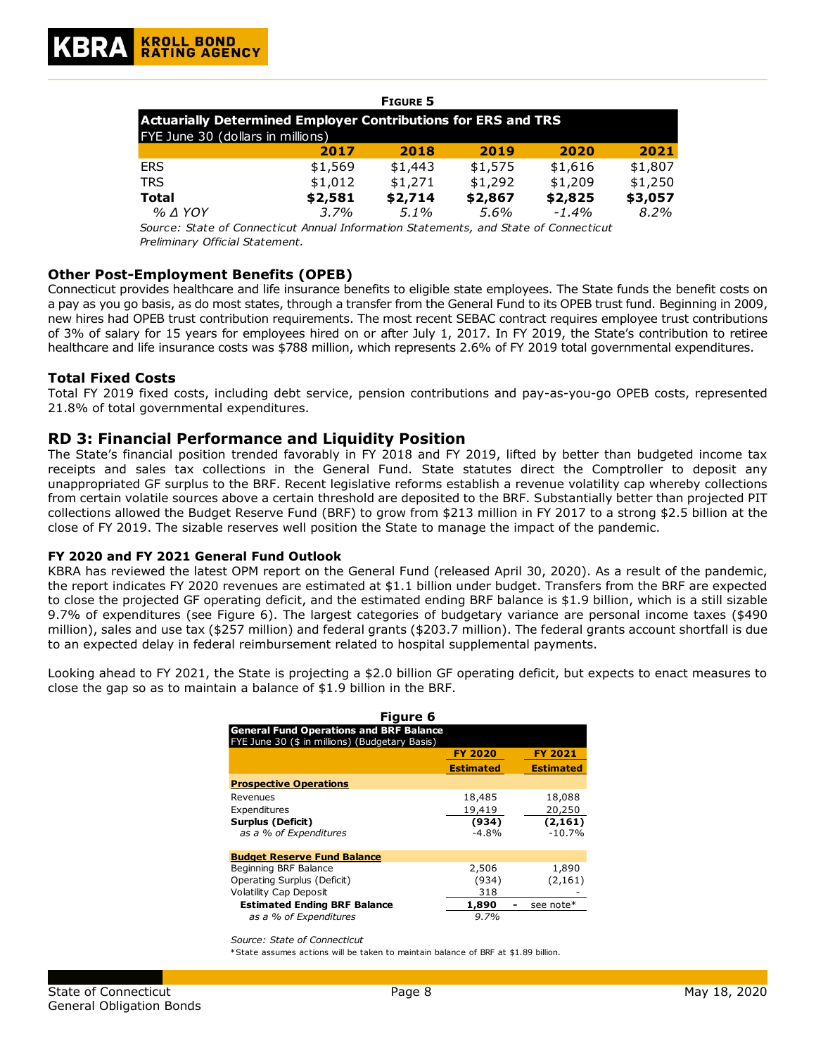#### **FIGURE 5 2017 2018 2019 2020 2021** ERS \$1,569 \$1,443 \$1,575 \$1,616 \$1,807 TRS \$1,012 \$1,271 \$1,292 \$1,209 \$1,250 **Total \$2,581 \$2,714 \$2,867 \$2,825 \$3,057** *% ∆ YOY 3.7% 5.1% 5.6% -1.4% 8.2%* **Actuarially Determined Employer Contributions for ERS and TRS** FYE June 30 (dollars in millions)

*Source: State of Connecticut Annual Information Statements, and State of Connecticut Preliminary Official Statement.*

## **Other Post-Employment Benefits (OPEB)**

Connecticut provides healthcare and life insurance benefits to eligible state employees. The State funds the benefit costs on a pay as you go basis, as do most states, through a transfer from the General Fund to its OPEB trust fund. Beginning in 2009, new hires had OPEB trust contribution requirements. The most recent SEBAC contract requires employee trust contributions of 3% of salary for 15 years for employees hired on or after July 1, 2017. In FY 2019, the State's contribution to retiree healthcare and life insurance costs was \$788 million, which represents 2.6% of FY 2019 total governmental expenditures.

## **Total Fixed Costs**

Total FY 2019 fixed costs, including debt service, pension contributions and pay-as-you-go OPEB costs, represented 21.8% of total governmental expenditures.

## **RD 3: Financial Performance and Liquidity Position**

The State's financial position trended favorably in FY 2018 and FY 2019, lifted by better than budgeted income tax receipts and sales tax collections in the General Fund. State statutes direct the Comptroller to deposit any unappropriated GF surplus to the BRF. Recent legislative reforms establish a revenue volatility cap whereby collections from certain volatile sources above a certain threshold are deposited to the BRF. Substantially better than projected PIT collections allowed the Budget Reserve Fund (BRF) to grow from \$213 million in FY 2017 to a strong \$2.5 billion at the close of FY 2019. The sizable reserves well position the State to manage the impact of the pandemic.

#### **FY 2020 and FY 2021 General Fund Outlook**

KBRA has reviewed the latest OPM report on the General Fund (released April 30, 2020). As a result of the pandemic, the report indicates FY 2020 revenues are estimated at \$1.1 billion under budget. Transfers from the BRF are expected to close the projected GF operating deficit, and the estimated ending BRF balance is \$1.9 billion, which is a still sizable 9.7% of expenditures (see Figure 6). The largest categories of budgetary variance are personal income taxes (\$490 million), sales and use tax (\$257 million) and federal grants (\$203.7 million). The federal grants account shortfall is due to an expected delay in federal reimbursement related to hospital supplemental payments.

Looking ahead to FY 2021, the State is projecting a \$2.0 billion GF operating deficit, but expects to enact measures to close the gap so as to maintain a balance of \$1.9 billion in the BRF.

| Figure 6                                       |                  |                  |
|------------------------------------------------|------------------|------------------|
| <b>General Fund Operations and BRF Balance</b> |                  |                  |
| FYE June 30 (\$ in millions) (Budgetary Basis) |                  |                  |
|                                                | <b>FY 2020</b>   | <b>FY 2021</b>   |
|                                                | <b>Estimated</b> | <b>Estimated</b> |
| <b>Prospective Operations</b>                  |                  |                  |
| Revenues                                       | 18,485           | 18,088           |
| Expenditures                                   | 19,419           | 20,250           |
| Surplus (Deficit)                              | (934)            | (2, 161)         |
| as a % of Expenditures                         | $-4.8%$          | $-10.7%$         |
| <b>Budget Reserve Fund Balance</b>             |                  |                  |
| Beginning BRF Balance                          | 2,506            | 1,890            |
| Operating Surplus (Deficit)                    | (934)            | (2, 161)         |
| <b>Volatility Cap Deposit</b>                  | 318              |                  |
| <b>Estimated Ending BRF Balance</b>            | 1,890            | see note*        |
| as a % of Expenditures                         | 9.7%             |                  |

*Source: State of Connecticut*

\*State assumes actions will be taken to maintain balance of BRF at \$1.89 billion.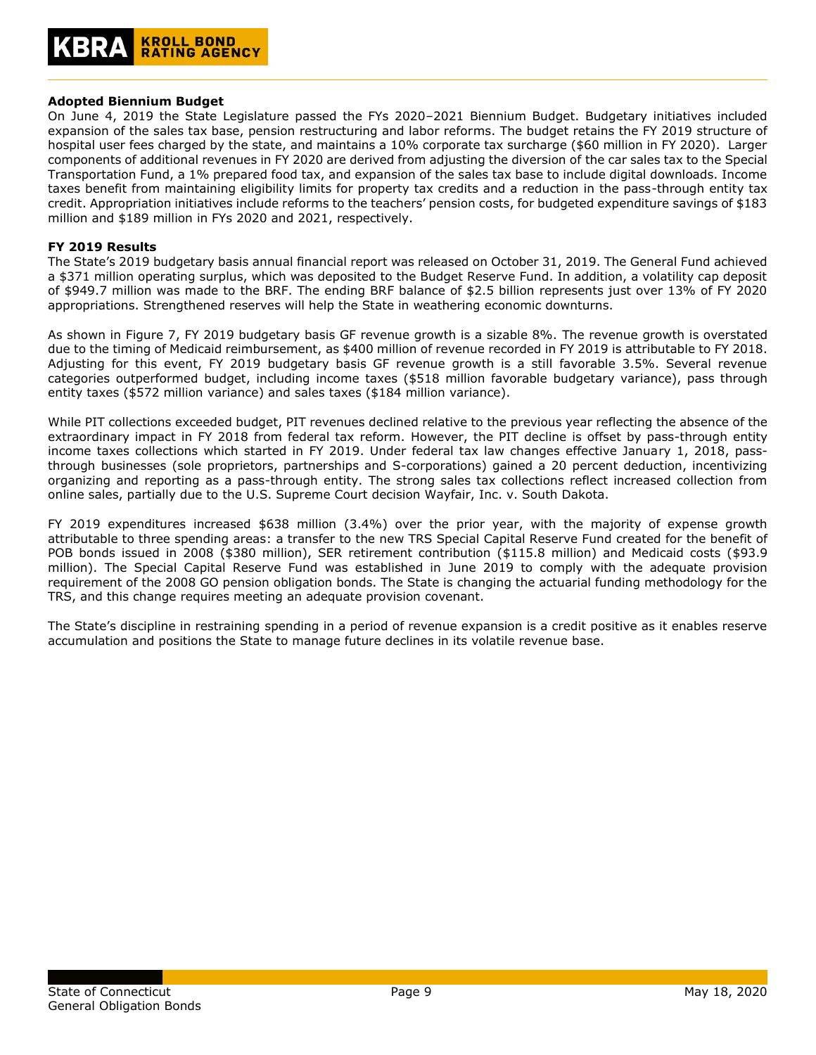#### **Adopted Biennium Budget**

On June 4, 2019 the State Legislature passed the FYs 2020–2021 Biennium Budget. Budgetary initiatives included expansion of the sales tax base, pension restructuring and labor reforms. The budget retains the FY 2019 structure of hospital user fees charged by the state, and maintains a 10% corporate tax surcharge (\$60 million in FY 2020). Larger components of additional revenues in FY 2020 are derived from adjusting the diversion of the car sales tax to the Special Transportation Fund, a 1% prepared food tax, and expansion of the sales tax base to include digital downloads. Income taxes benefit from maintaining eligibility limits for property tax credits and a reduction in the pass-through entity tax credit. Appropriation initiatives include reforms to the teachers' pension costs, for budgeted expenditure savings of \$183 million and \$189 million in FYs 2020 and 2021, respectively.

#### **FY 2019 Results**

The State's 2019 budgetary basis annual financial report was released on October 31, 2019. The General Fund achieved a \$371 million operating surplus, which was deposited to the Budget Reserve Fund. In addition, a volatility cap deposit of \$949.7 million was made to the BRF. The ending BRF balance of \$2.5 billion represents just over 13% of FY 2020 appropriations. Strengthened reserves will help the State in weathering economic downturns.

As shown in Figure 7, FY 2019 budgetary basis GF revenue growth is a sizable 8%. The revenue growth is overstated due to the timing of Medicaid reimbursement, as \$400 million of revenue recorded in FY 2019 is attributable to FY 2018. Adjusting for this event, FY 2019 budgetary basis GF revenue growth is a still favorable 3.5%. Several revenue categories outperformed budget, including income taxes (\$518 million favorable budgetary variance), pass through entity taxes (\$572 million variance) and sales taxes (\$184 million variance).

While PIT collections exceeded budget, PIT revenues declined relative to the previous year reflecting the absence of the extraordinary impact in FY 2018 from federal tax reform. However, the PIT decline is offset by pass-through entity income taxes collections which started in FY 2019. Under federal tax law changes effective January 1, 2018, passthrough businesses (sole proprietors, partnerships and S-corporations) gained a 20 percent deduction, incentivizing organizing and reporting as a pass-through entity. The strong sales tax collections reflect increased collection from online sales, partially due to the U.S. Supreme Court decision Wayfair, Inc. v. South Dakota.

FY 2019 expenditures increased \$638 million (3.4%) over the prior year, with the majority of expense growth attributable to three spending areas: a transfer to the new TRS Special Capital Reserve Fund created for the benefit of POB bonds issued in 2008 (\$380 million), SER retirement contribution (\$115.8 million) and Medicaid costs (\$93.9 million). The Special Capital Reserve Fund was established in June 2019 to comply with the adequate provision requirement of the 2008 GO pension obligation bonds. The State is changing the actuarial funding methodology for the TRS, and this change requires meeting an adequate provision covenant.

The State's discipline in restraining spending in a period of revenue expansion is a credit positive as it enables reserve accumulation and positions the State to manage future declines in its volatile revenue base.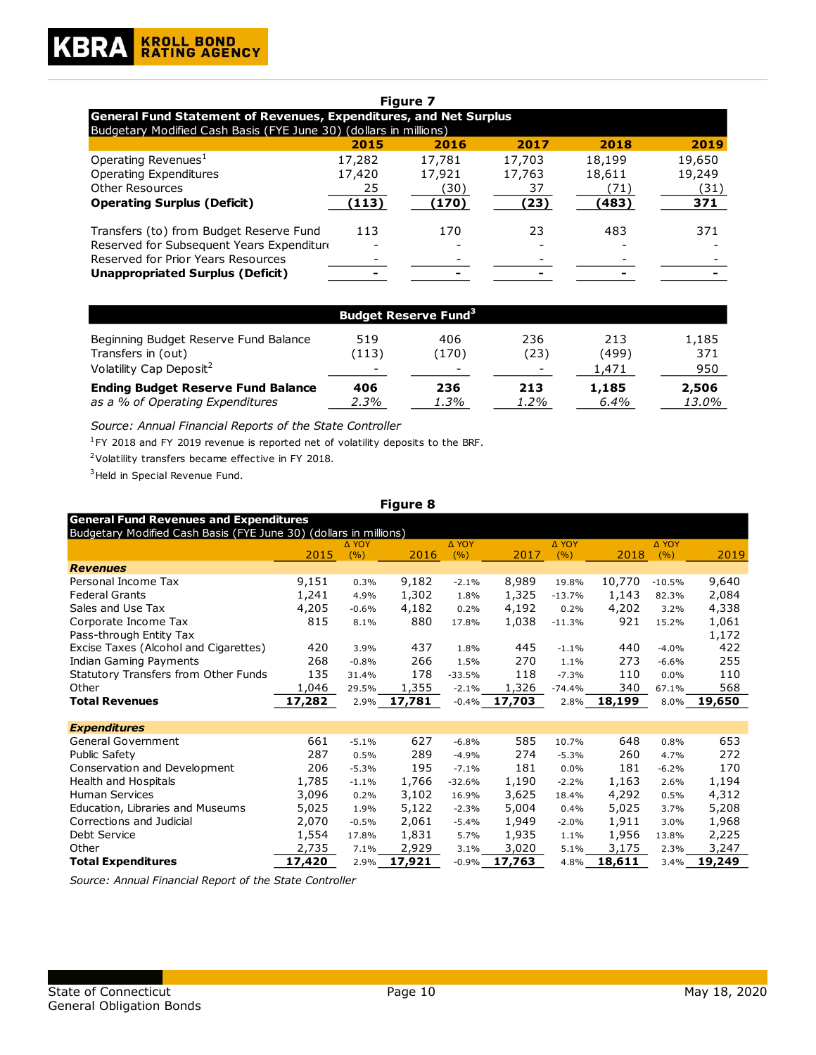| <b>Figure 7</b>                                                   |        |        |        |        |        |  |  |
|-------------------------------------------------------------------|--------|--------|--------|--------|--------|--|--|
| General Fund Statement of Revenues, Expenditures, and Net Surplus |        |        |        |        |        |  |  |
| Budgetary Modified Cash Basis (FYE June 30) (dollars in millions) |        |        |        |        |        |  |  |
|                                                                   | 2015   | 2016   | 2017   | 2018   | 2019   |  |  |
| Operating Revenues <sup>1</sup>                                   | 17,282 | 17,781 | 17,703 | 18,199 | 19,650 |  |  |
| <b>Operating Expenditures</b>                                     | 17,420 | 17,921 | 17,763 | 18,611 | 19,249 |  |  |
| <b>Other Resources</b>                                            | 25     | (30)   | 37     | (71)   | (31)   |  |  |
| <b>Operating Surplus (Deficit)</b>                                | (113)  | (170)  | (23)   | (483)  | 371    |  |  |
| Transfers (to) from Budget Reserve Fund                           | 113    | 170    | 23     | 483    | 371    |  |  |
| Reserved for Subsequent Years Expenditure                         |        |        |        |        |        |  |  |
| Reserved for Prior Years Resources                                |        |        |        |        |        |  |  |
| <b>Unappropriated Surplus (Deficit)</b>                           |        |        |        |        |        |  |  |
|                                                                   |        |        |        |        |        |  |  |

| <b>Budget Reserve Fund<sup>3</sup></b>    |                          |                          |      |       |       |  |
|-------------------------------------------|--------------------------|--------------------------|------|-------|-------|--|
| Beginning Budget Reserve Fund Balance     | 519                      | 406                      | 236  | 213   | 1,185 |  |
| Transfers in (out)                        | (113)                    | (170)                    | (23) | (499) | 371   |  |
| Volatility Cap Deposit <sup>2</sup>       | $\overline{\phantom{0}}$ | $\overline{\phantom{0}}$ | -    | 1.471 | 950   |  |
| <b>Ending Budget Reserve Fund Balance</b> | 406                      | 236                      | 213  | 1,185 | 2,506 |  |
| as a % of Operating Expenditures          | 2.3%                     | 1.3%                     | 1.2% | 6.4%  | 13.0% |  |

*Source: Annual Financial Reports of the State Controller*

 $1$ FY 2018 and FY 2019 revenue is reported net of volatility deposits to the BRF.

<sup>2</sup>Volatility transfers became effective in FY 2018.

<sup>3</sup> Held in Special Revenue Fund.

#### **Figure 8**

2015 ∆ YOY (%) 2016 ∆ YOY  $(%)$  2017 ∆ YOY (%) 2018 ∆ YOY (%) 2019 *Revenues* Personal Income Tax 9,151 0.3% 9,182 -2.1% 8,989 19.8% 10,770 -10.5% 9,640 Federal Grants 1,241 4.9% 1,302 1.8% 1,325 -13.7% 1,143 82.3% 2,084 Sales and Use Tax  $4,205$   $-0.6\%$   $4,182$   $0.2\%$   $4,192$   $0.2\%$   $4,202$   $3.2\%$   $4,338$ Corporate Income Tax 815 8.1% 880 17.8% 1,038 -11.3% 921 15.2% 1,061 Pass-through Entity Tax 1,172 Excise Taxes (Alcohol and Cigarettes) 420 3.9% 437 1.8% 445 -1.1% 440 -4.0% 422 Indian Gaming Payments 268 -0.8% 266 1.5% 270 1.1% 273 -6.6% 255 Statutory Transfers from Other Funds 135 31.4% 178 -33.5% 118 -7.3% 110 0.0% 110 Other 1,046 29.5% 1,355 -2.1% 1,326 -74.4% 340 67.1% 568 **Total Revenues 17,282** 2.9% **17,781** -0.4% **17,703** 2.8% **18,199** 8.0% **19,650** *Expenditures* General Government  $661$  -5.1% 627 -6.8% 585 10.7% 648 0.8% 653 Public Safety 287 0.5% 289 -4.9% 274 -5.3% 260 4.7% 272 Conservation and Development 206 -5.3% 195 -7.1% 181 0.0% 181 -6.2% 170 Health and Hospitals 1,785 -1.1% 1,766 -32.6% 1,190 -2.2% 1,163 2.6% 1,194 Human Services 3,096 0.2% 3,102 16.9% 3,625 18.4% 4,292 0.5% 4,312 Education, Libraries and Museums 5,025 1.9% 5,122 -2.3% 5,004 0.4% 5,025 3.7% 5,208 Corrections and Judicial 2,070 -0.5% 2,061 -5.4% 1,949 -2.0% 1,911 3.0% 1,968 Debt Service 1,554 17.8% 1,831 5.7% 1,935 1.1% 1,956 13.8% 2,225 Other 2,735 7.1% 2,929 3.1% 3,020 5.1% 3,175 2.3% 3,247 **Total Expenditures 17,420** 2.9% **17,921** -0.9% **17,763** 4.8% **18,611** 3.4% **19,249** Budgetary Modified Cash Basis (FYE June 30) (dollars in millions) **General Fund Revenues and Expenditures**

*Source: Annual Financial Report of the State Controller*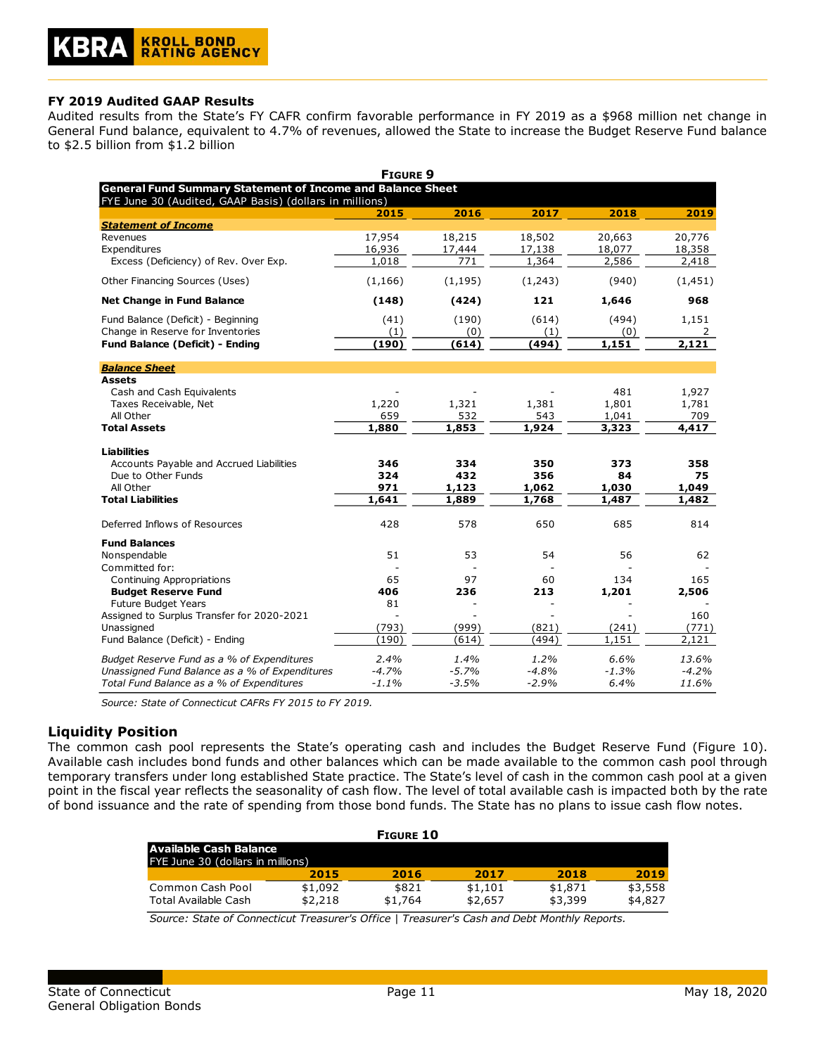#### **FY 2019 Audited GAAP Results**

Audited results from the State's FY CAFR confirm favorable performance in FY 2019 as a \$968 million net change in General Fund balance, equivalent to 4.7% of revenues, allowed the State to increase the Budget Reserve Fund balance to \$2.5 billion from \$1.2 billion

| <b>FIGURE 9</b>                                                   |          |          |         |         |          |  |  |
|-------------------------------------------------------------------|----------|----------|---------|---------|----------|--|--|
| <b>General Fund Summary Statement of Income and Balance Sheet</b> |          |          |         |         |          |  |  |
| FYE June 30 (Audited, GAAP Basis) (dollars in millions)           |          |          |         |         |          |  |  |
|                                                                   | 2015     | 2016     | 2017    | 2018    | 2019     |  |  |
| <b>Statement of Income</b>                                        |          |          |         |         |          |  |  |
| Revenues                                                          | 17,954   | 18,215   | 18,502  | 20,663  | 20,776   |  |  |
| Expenditures                                                      | 16,936   | 17,444   | 17,138  | 18,077  | 18,358   |  |  |
| Excess (Deficiency) of Rev. Over Exp.                             | 1,018    | 771      | 1,364   | 2,586   | 2,418    |  |  |
| Other Financing Sources (Uses)                                    | (1, 166) | (1, 195) | (1,243) | (940)   | (1, 451) |  |  |
| <b>Net Change in Fund Balance</b>                                 | (148)    | (424)    | 121     | 1,646   | 968      |  |  |
| Fund Balance (Deficit) - Beginning                                | (41)     | (190)    | (614)   | (494)   | 1,151    |  |  |
| Change in Reserve for Inventories                                 | (1)      | (0)      | (1)     | (0)     | 2        |  |  |
| <b>Fund Balance (Deficit) - Ending</b>                            | (190)    | (614)    | (494)   | 1,151   | 2,121    |  |  |
| <b>Balance Sheet</b>                                              |          |          |         |         |          |  |  |
| <b>Assets</b>                                                     |          |          |         |         |          |  |  |
| Cash and Cash Equivalents                                         |          |          |         | 481     | 1,927    |  |  |
| Taxes Receivable, Net                                             | 1,220    | 1,321    | 1,381   | 1,801   | 1,781    |  |  |
| All Other                                                         | 659      | 532      | 543     | 1,041   | 709      |  |  |
| <b>Total Assets</b>                                               | 1,880    | 1,853    | 1,924   | 3,323   | 4,417    |  |  |
|                                                                   |          |          |         |         |          |  |  |
| Liabilities                                                       |          |          |         |         |          |  |  |
| Accounts Payable and Accrued Liabilities                          | 346      | 334      | 350     | 373     | 358      |  |  |
| Due to Other Funds                                                | 324      | 432      | 356     | 84      | 75       |  |  |
| All Other                                                         | 971      | 1,123    | 1,062   | 1,030   | 1,049    |  |  |
| <b>Total Liabilities</b>                                          | 1,641    | 1,889    | 1,768   | 1,487   | 1,482    |  |  |
|                                                                   |          |          |         |         |          |  |  |
| Deferred Inflows of Resources                                     | 428      | 578      | 650     | 685     | 814      |  |  |
| <b>Fund Balances</b>                                              |          |          |         |         |          |  |  |
| Nonspendable                                                      | 51       | 53       | 54      | 56      | 62       |  |  |
| Committed for:                                                    |          |          |         |         |          |  |  |
| Continuing Appropriations                                         | 65       | 97       | 60      | 134     | 165      |  |  |
| <b>Budget Reserve Fund</b>                                        | 406      | 236      | 213     | 1,201   | 2,506    |  |  |
| Future Budget Years                                               | 81       |          |         |         |          |  |  |
| Assigned to Surplus Transfer for 2020-2021                        |          |          |         |         | 160      |  |  |
| Unassigned                                                        | (793)    | (999)    | (821)   | (241)   | (771)    |  |  |
| Fund Balance (Deficit) - Ending                                   | (190)    | (614)    | (494)   | 1,151   | 2,121    |  |  |
|                                                                   |          |          |         |         |          |  |  |
| Budget Reserve Fund as a % of Expenditures                        | 2.4%     | 1.4%     | 1.2%    | 6.6%    | 13.6%    |  |  |
| Unassigned Fund Balance as a % of Expenditures                    | $-4.7%$  | $-5.7%$  | $-4.8%$ | $-1.3%$ | $-4.2%$  |  |  |
| Total Fund Balance as a % of Expenditures                         | $-1.1%$  | $-3.5%$  | $-2.9%$ | 6.4%    | 11.6%    |  |  |

*Source: State of Connecticut CAFRs FY 2015 to FY 2019.*

## **Liquidity Position**

The common cash pool represents the State's operating cash and includes the Budget Reserve Fund (Figure 10). Available cash includes bond funds and other balances which can be made available to the common cash pool through temporary transfers under long established State practice. The State's level of cash in the common cash pool at a given point in the fiscal year reflects the seasonality of cash flow. The level of total available cash is impacted both by the rate of bond issuance and the rate of spending from those bond funds. The State has no plans to issue cash flow notes.

| <b>FIGURE 10</b>                  |         |         |         |         |         |
|-----------------------------------|---------|---------|---------|---------|---------|
| Available Cash Balance            |         |         |         |         |         |
| FYE June 30 (dollars in millions) |         |         |         |         |         |
|                                   | 2015    | 2016    | 2017    | 2018    | 2019    |
| Common Cash Pool                  | \$1,092 | \$821   | \$1.101 | \$1,871 | \$3,558 |
| Total Available Cash              | \$2,218 | \$1,764 | \$2,657 | \$3,399 | \$4,827 |

*Source: State of Connecticut Treasurer's Office | Treasurer's Cash and Debt Monthly Reports.*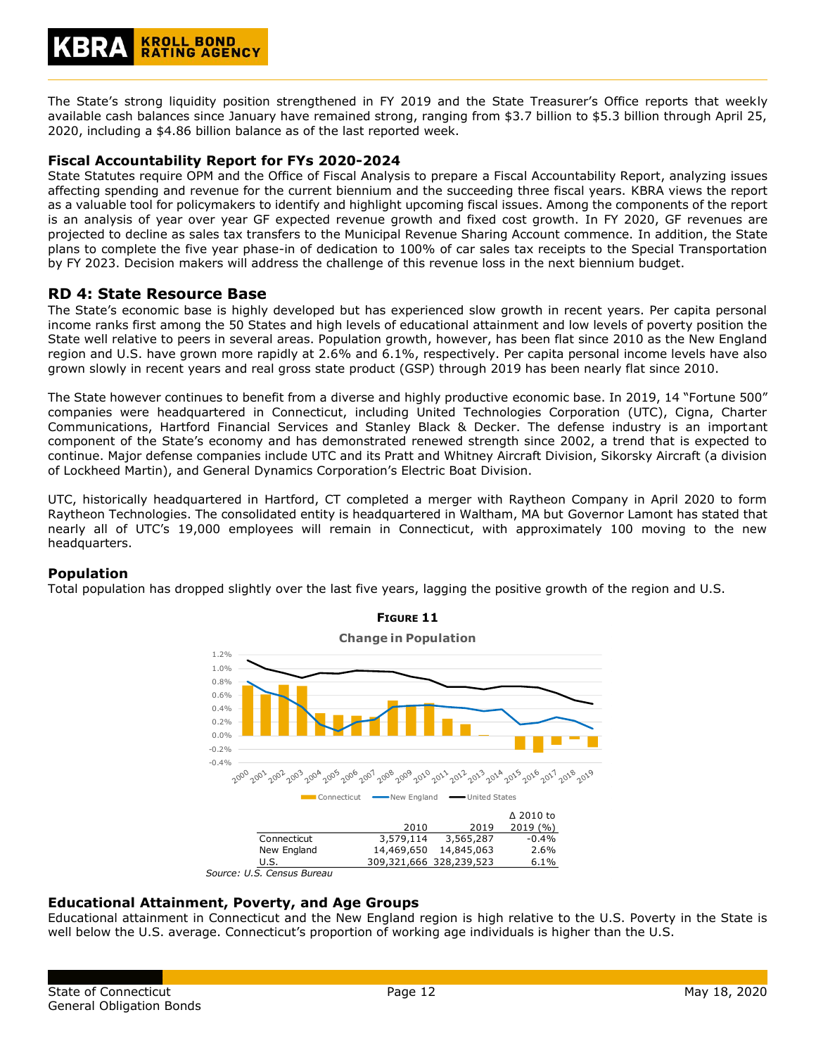

The State's strong liquidity position strengthened in FY 2019 and the State Treasurer's Office reports that weekly available cash balances since January have remained strong, ranging from \$3.7 billion to \$5.3 billion through April 25, 2020, including a \$4.86 billion balance as of the last reported week.

#### **Fiscal Accountability Report for FYs 2020-2024**

State Statutes require OPM and the Office of Fiscal Analysis to prepare a Fiscal Accountability Report, analyzing issues affecting spending and revenue for the current biennium and the succeeding three fiscal years. KBRA views the report as a valuable tool for policymakers to identify and highlight upcoming fiscal issues. Among the components of the report is an analysis of year over year GF expected revenue growth and fixed cost growth. In FY 2020, GF revenues are projected to decline as sales tax transfers to the Municipal Revenue Sharing Account commence. In addition, the State plans to complete the five year phase-in of dedication to 100% of car sales tax receipts to the Special Transportation by FY 2023. Decision makers will address the challenge of this revenue loss in the next biennium budget.

## **RD 4: State Resource Base**

The State's economic base is highly developed but has experienced slow growth in recent years. Per capita personal income ranks first among the 50 States and high levels of educational attainment and low levels of poverty position the State well relative to peers in several areas. Population growth, however, has been flat since 2010 as the New England region and U.S. have grown more rapidly at 2.6% and 6.1%, respectively. Per capita personal income levels have also grown slowly in recent years and real gross state product (GSP) through 2019 has been nearly flat since 2010.

The State however continues to benefit from a diverse and highly productive economic base. In 2019, 14 "Fortune 500" companies were headquartered in Connecticut, including United Technologies Corporation (UTC), Cigna, Charter Communications, Hartford Financial Services and Stanley Black & Decker. The defense industry is an important component of the State's economy and has demonstrated renewed strength since 2002, a trend that is expected to continue. Major defense companies include UTC and its Pratt and Whitney Aircraft Division, Sikorsky Aircraft (a division of Lockheed Martin), and General Dynamics Corporation's Electric Boat Division.

UTC, historically headquartered in Hartford, CT completed a merger with Raytheon Company in April 2020 to form Raytheon Technologies. The consolidated entity is headquartered in Waltham, MA but Governor Lamont has stated that nearly all of UTC's 19,000 employees will remain in Connecticut, with approximately 100 moving to the new headquarters.

#### **Population**

Total population has dropped slightly over the last five years, lagging the positive growth of the region and U.S.





**Educational Attainment, Poverty, and Age Groups** Educational attainment in Connecticut and the New England region is high relative to the U.S. Poverty in the State is well below the U.S. average. Connecticut's proportion of working age individuals is higher than the U.S.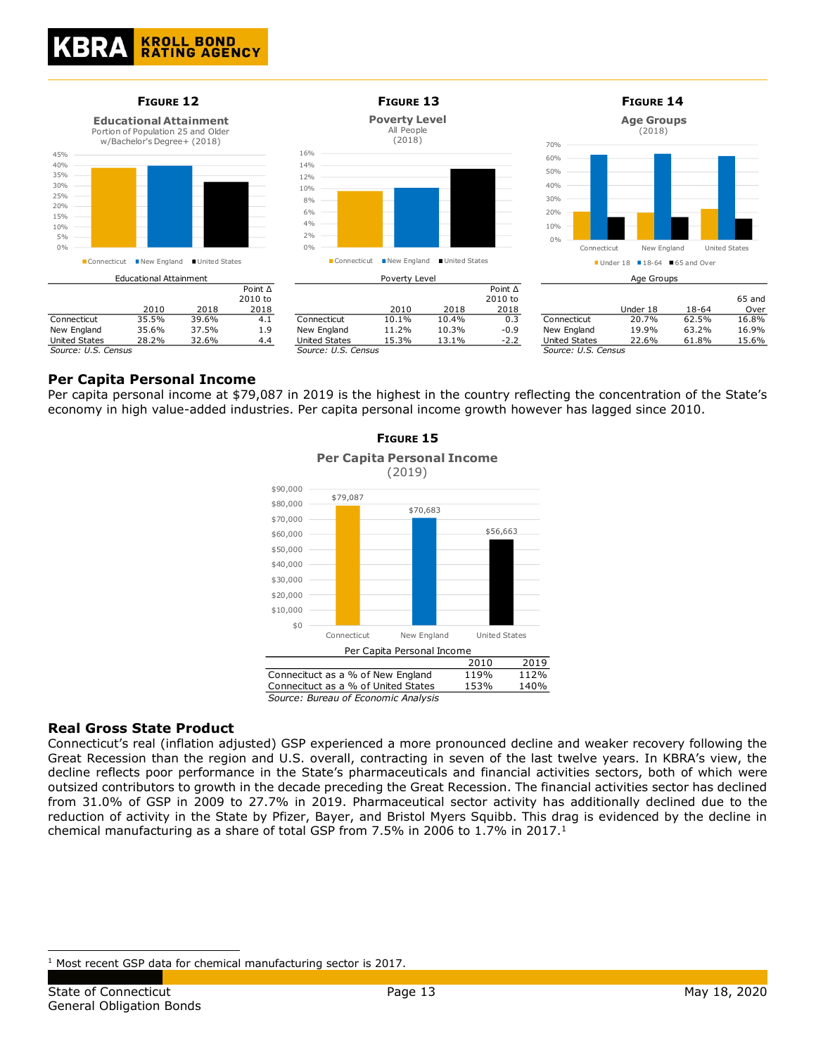

## **Per Capita Personal Income**

Per capita personal income at \$79,087 in 2019 is the highest in the country reflecting the concentration of the State's economy in high value-added industries. Per capita personal income growth however has lagged since 2010.

**FIGURE 15**



*Source: Bureau of Economic Analysis*

## **Real Gross State Product**

Connecticut's real (inflation adjusted) GSP experienced a more pronounced decline and weaker recovery following the Great Recession than the region and U.S. overall, contracting in seven of the last twelve years. In KBRA's view, the decline reflects poor performance in the State's pharmaceuticals and financial activities sectors, both of which were outsized contributors to growth in the decade preceding the Great Recession. The financial activities sector has declined from 31.0% of GSP in 2009 to 27.7% in 2019. Pharmaceutical sector activity has additionally declined due to the reduction of activity in the State by Pfizer, Bayer, and Bristol Myers Squibb. This drag is evidenced by the decline in chemical manufacturing as a share of total GSP from 7.5% in 2006 to 1.7% in 2017.<sup>1</sup>

<sup>&</sup>lt;sup>1</sup> Most recent GSP data for chemical manufacturing sector is 2017.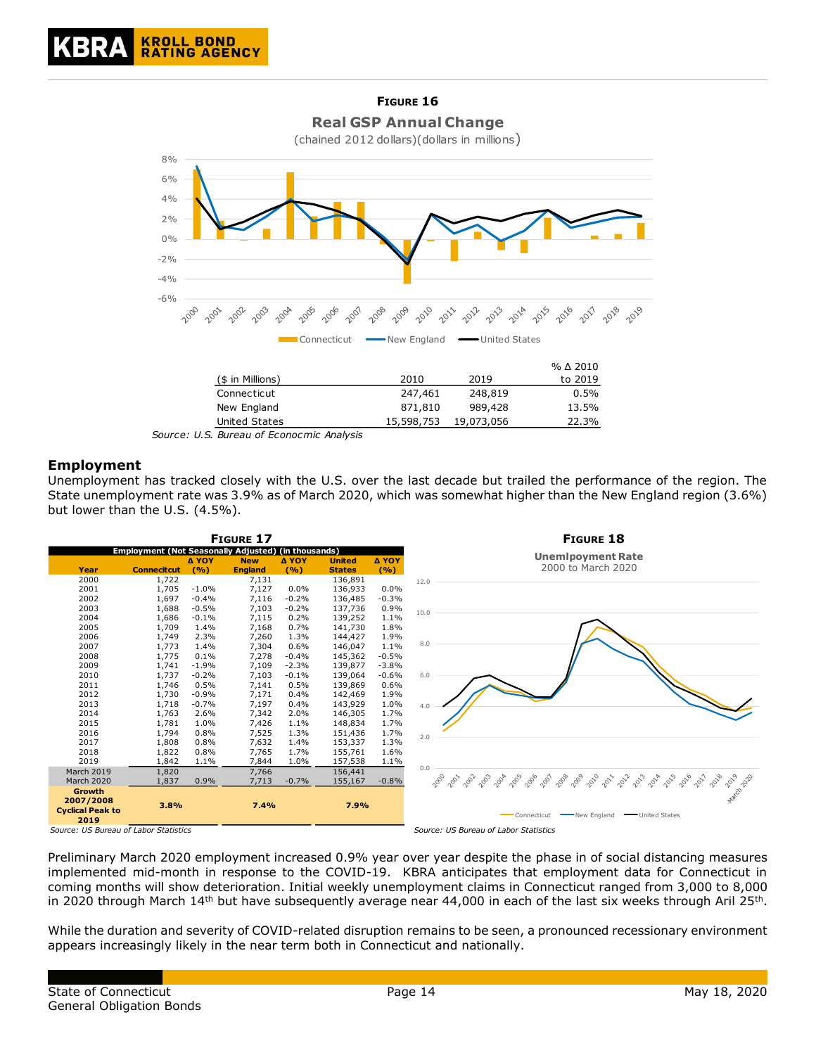

*Source: U.S. Bureau of Econocmic Analysis*

## **Employment**

Unemployment has tracked closely with the U.S. over the last decade but trailed the performance of the region. The State unemployment rate was 3.9% as of March 2020, which was somewhat higher than the New England region (3.6%) but lower than the U.S. (4.5%).



Preliminary March 2020 employment increased 0.9% year over year despite the phase in of social distancing measures implemented mid-month in response to the COVID-19. KBRA anticipates that employment data for Connecticut in coming months will show deterioration. Initial weekly unemployment claims in Connecticut ranged from 3,000 to 8,000 in 2020 through March 14<sup>th</sup> but have subsequently average near 44,000 in each of the last six weeks through Aril 25<sup>th</sup>.

While the duration and severity of COVID-related disruption remains to be seen, a pronounced recessionary environment appears increasingly likely in the near term both in Connecticut and nationally.